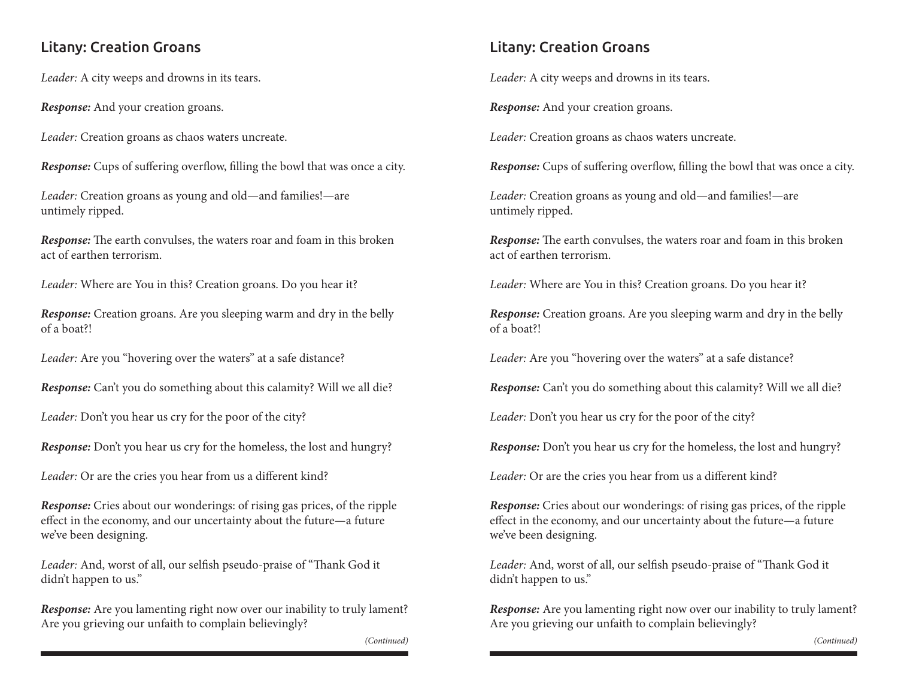## Litany: Creation Groans

*Leader:* A city weeps and drowns in its tears.

*Response:* And your creation groans.

*Leader:* Creation groans as chaos waters uncreate.

*Response:* Cups of suffering overflow, filling the bowl that was once a city.

*Leader:* Creation groans as young and old—and families!—are untimely ripped.

*Response:* The earth convulses, the waters roar and foam in this broken act of earthen terrorism.

*Leader:* Where are You in this? Creation groans. Do you hear it?

*Response:* Creation groans. Are you sleeping warm and dry in the belly of a boat?!

*Leader:* Are you "hovering over the waters" at a safe distance?

*Response:* Can't you do something about this calamity? Will we all die?

*Leader:* Don't you hear us cry for the poor of the city?

*Response:* Don't you hear us cry for the homeless, the lost and hungry?

*Leader:* Or are the cries you hear from us a different kind?

*Response:* Cries about our wonderings: of rising gas prices, of the ripple effect in the economy, and our uncertainty about the future—a future we've been designing.

*Leader:* And, worst of all, our selfish pseudo-praise of "Thank God it didn't happen to us."

*Response:* Are you lamenting right now over our inability to truly lament? Are you grieving our unfaith to complain believingly?

*(Continued) (Continued)*

## Litany: Creation Groans

*Leader:* A city weeps and drowns in its tears.

*Response:* And your creation groans.

*Leader:* Creation groans as chaos waters uncreate.

*Response:* Cups of suffering overflow, filling the bowl that was once a city.

*Leader:* Creation groans as young and old—and families!—are untimely ripped.

*Response:* The earth convulses, the waters roar and foam in this broken act of earthen terrorism.

*Leader:* Where are You in this? Creation groans. Do you hear it?

*Response:* Creation groans. Are you sleeping warm and dry in the belly of a boat?!

*Leader:* Are you "hovering over the waters" at a safe distance?

*Response:* Can't you do something about this calamity? Will we all die?

*Leader:* Don't you hear us cry for the poor of the city?

*Response:* Don't you hear us cry for the homeless, the lost and hungry?

*Leader:* Or are the cries you hear from us a different kind?

*Response:* Cries about our wonderings: of rising gas prices, of the ripple effect in the economy, and our uncertainty about the future—a future we've been designing.

*Leader:* And, worst of all, our selfish pseudo-praise of "Thank God it didn't happen to us."

*Response:* Are you lamenting right now over our inability to truly lament? Are you grieving our unfaith to complain believingly?